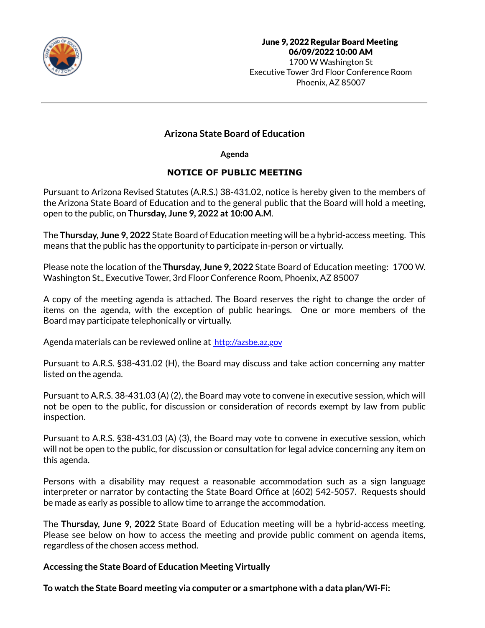

# **Arizona State Board of Education**

**Agenda**

## **NOTICE OF PUBLIC MEETING**

Pursuant to Arizona Revised Statutes (A.R.S.) 38-431.02, notice is hereby given to the members of the Arizona State Board of Education and to the general public that the Board will hold a meeting, open to the public, on **Thursday, June 9, 2022 at 10:00 A.M**.

The **Thursday, June 9, 2022** State Board of Education meeting will be a hybrid-access meeting. This means that the public has the opportunity to participate in-person or virtually.

Please note the location of the **Thursday, June 9, 2022** State Board of Education meeting: 1700 W. Washington St., Executive Tower, 3rd Floor Conference Room, Phoenix, AZ 85007

A copy of the meeting agenda is attached. The Board reserves the right to change the order of items on the agenda, with the exception of public hearings. One or more members of the Board may participate telephonically or virtually.

Agenda materials can be reviewed online at [http://azsbe.az.gov](http://azsbe.az.gov/)

Pursuant to A.R.S. §38-431.02 (H), the Board may discuss and take action concerning any matter listed on the agenda.

Pursuant to A.R.S. 38-431.03 (A) (2), the Board may vote to convene in executive session, which will not be open to the public, for discussion or consideration of records exempt by law from public inspection.

Pursuant to A.R.S. §38-431.03 (A) (3), the Board may vote to convene in executive session, which will not be open to the public, for discussion or consultation for legal advice concerning any item on this agenda.

Persons with a disability may request a reasonable accommodation such as a sign language interpreter or narrator by contacting the State Board Office at (602) 542-5057. Requests should be made as early as possible to allow time to arrange the accommodation.

The **Thursday, June 9, 2022** State Board of Education meeting will be a hybrid-access meeting. Please see below on how to access the meeting and provide public comment on agenda items, regardless of the chosen access method.

## **Accessing the State Board of Education Meeting Virtually**

**To watch the State Board meeting via computer or a smartphone with a data plan/Wi-Fi:**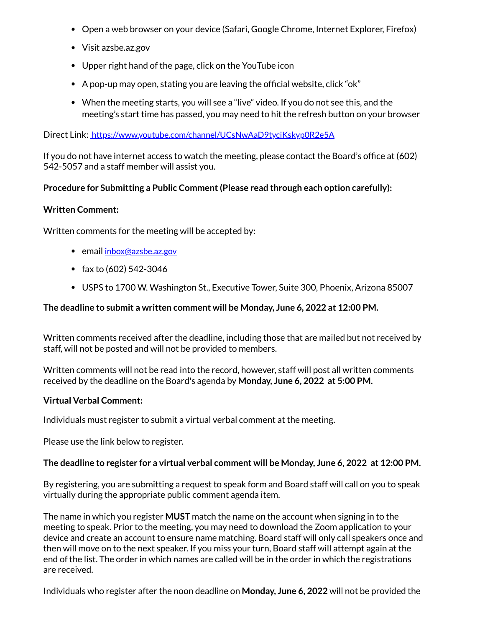- Open a web browser on your device (Safari, Google Chrome, Internet Explorer, Firefox)
- Visit azsbe.az.gov
- Upper right hand of the page, click on the YouTube icon
- A pop-up may open, stating you are leaving the official website, click "ok"
- When the meeting starts, you will see a "live" video. If you do not see this, and the meeting's start time has passed, you may need to hit the refresh button on your browser

Direct Link:<https://www.youtube.com/channel/UCsNwAaD9tyciKskyp0R2e5A>

If you do not have internet access to watch the meeting, please contact the Board's office at (602) 542-5057 and a staff member will assist you.

## **Procedure for Submitting a Public Comment (Please read through each option carefully):**

#### **Written Comment:**

Written comments for the meeting will be accepted by:

- **email [inbox@azsbe.az.gov](mailto:inbox@azsbe.az.gov)**
- fax to  $(602)$  542-3046
- USPS to 1700 W. Washington St., Executive Tower, Suite 300, Phoenix, Arizona 85007

#### **The deadline to submit a written comment will be Monday, June 6, 2022 at 12:00 PM.**

Written comments received after the deadline, including those that are mailed but not received by staff, will not be posted and will not be provided to members.

Written comments will not be read into the record, however, staff will post all written comments received by the deadline on the Board's agenda by **Monday, June 6, 2022 at 5:00 PM.**

#### **Virtual Verbal Comment:**

Individuals must register to submit a virtual verbal comment at the meeting.

Please use the link below to register.

#### **The deadline to register for a virtual verbal comment will be Monday, June 6, 2022 at 12:00 PM.**

By registering, you are submitting a request to speak form and Board staff will call on you to speak virtually during the appropriate public comment agenda item.

The name in which you register **MUST** match the name on the account when signing in to the meeting to speak. Prior to the meeting, you may need to download the Zoom application to your device and create an account to ensure name matching. Board staff will only call speakers once and then will move on to the next speaker. If you miss your turn, Board staff will attempt again at the end of the list. The order in which names are called will be in the order in which the registrations are received.

Individuals who register after the noon deadline on **Monday, June 6, 2022** will not be provided the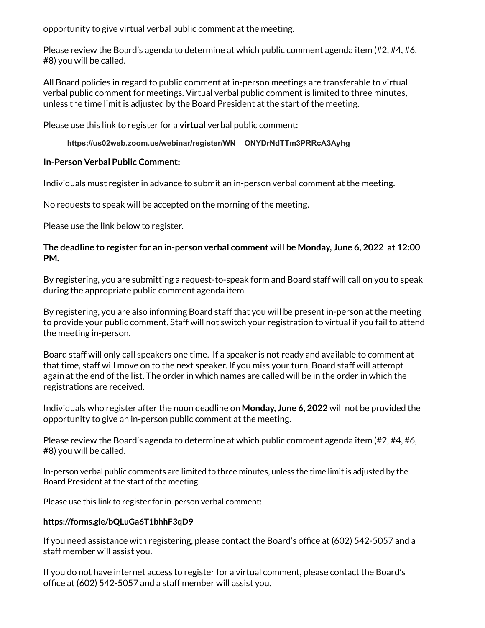opportunity to give virtual verbal public comment at the meeting.

Please review the Board's agenda to determine at which public comment agenda item (#2, #4, #6, #8) you will be called.

All Board policies in regard to public comment at in-person meetings are transferable to virtual verbal public comment for meetings. Virtual verbal public comment is limited to three minutes, unless the time limit is adjusted by the Board President at the start of the meeting.

Please use this link to register for a **virtual** verbal public comment:

## **https://us02web.zoom.us/webinar/register/WN\_\_ONYDrNdTTm3PRRcA3Ayhg**

## **In-Person Verbal Public Comment:**

Individuals must register in advance to submit an in-person verbal comment at the meeting.

No requests to speak will be accepted on the morning of the meeting.

Please use the link below to register.

## **The deadline to register for an in-person verbal comment will be Monday, June 6, 2022 at 12:00 PM.**

By registering, you are submitting a request-to-speak form and Board staff will call on you to speak during the appropriate public comment agenda item.

By registering, you are also informing Board staff that you will be present in-person at the meeting to provide your public comment. Staff will not switch your registration to virtual if you fail to attend the meeting in-person.

Board staff will only call speakers one time. If a speaker is not ready and available to comment at that time, staff will move on to the next speaker. If you miss your turn, Board staff will attempt again at the end of the list. The order in which names are called will be in the order in which the registrations are received.

Individuals who register after the noon deadline on **Monday, June 6, 2022** will not be provided the opportunity to give an in-person public comment at the meeting.

Please review the Board's agenda to determine at which public comment agenda item (#2, #4, #6, #8) you will be called.

In-person verbal public comments are limited to three minutes, unless the time limit is adjusted by the Board President at the start of the meeting.

Please use this link to register for in-person verbal comment:

## **https://forms.gle/bQLuGa6T1bhhF3qD9**

If you need assistance with registering, please contact the Board's office at (602) 542-5057 and a staff member will assist you.

If you do not have internet access to register for a virtual comment, please contact the Board's office at (602) 542-5057 and a staff member will assist you.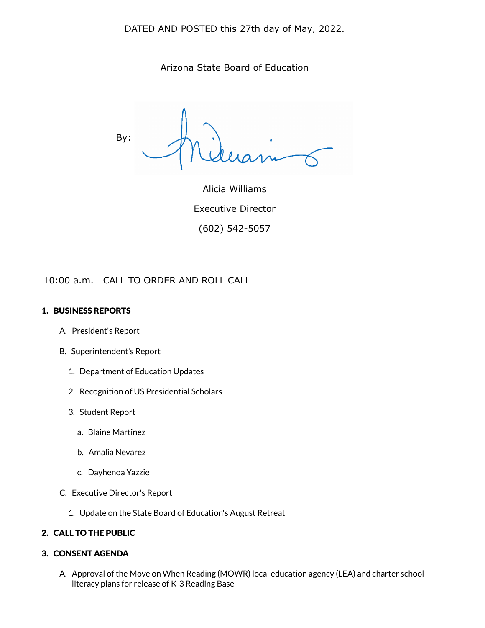DATED AND POSTED this 27th day of May, 2022.

Arizona State Board of Education

By:

Alicia Williams Executive Director (602) 542-5057

10:00 a.m. CALL TO ORDER AND ROLL CALL

#### 1. BUSINESS REPORTS

- A. President's Report
- B. Superintendent's Report
	- 1. Department of Education Updates
	- 2. Recognition of US Presidential Scholars
	- 3. Student Report
		- a. Blaine Martinez
		- b. Amalia Nevarez
		- c. Dayhenoa Yazzie
- C. Executive Director's Report
	- 1. Update on the State Board of Education's August Retreat

## 2. CALL TO THE PUBLIC

## 3. CONSENT AGENDA

A. Approval of the Move on When Reading (MOWR) local education agency (LEA) and charter school literacy plans for release of K-3 Reading Base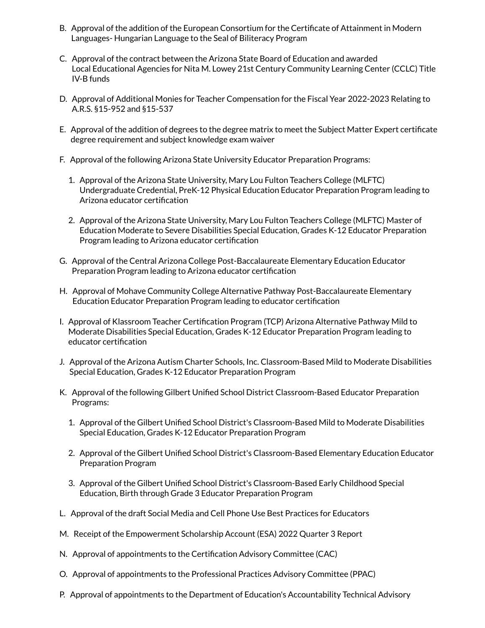- B. Approval of the addition of the European Consortium for the Certificate of Attainment in Modern Languages- Hungarian Language to the Seal of Biliteracy Program
- C. Approval of the contract between the Arizona State Board of Education and awarded Local Educational Agencies for Nita M. Lowey 21st Century Community Learning Center (CCLC) Title IV-B funds
- D. Approval of Additional Monies for Teacher Compensation for the Fiscal Year 2022-2023 Relating to A.R.S. §15-952 and §15-537
- E. Approval of the addition of degrees to the degree matrix to meet the Subject Matter Expert certificate degree requirement and subject knowledge exam waiver
- F. Approval of the following Arizona State University Educator Preparation Programs:
	- 1. Approval of the Arizona State University, Mary Lou Fulton Teachers College (MLFTC) Undergraduate Credential, PreK-12 Physical Education Educator Preparation Program leading to Arizona educator certification
	- 2. Approval of the Arizona State University, Mary Lou Fulton Teachers College (MLFTC) Master of Education Moderate to Severe Disabilities Special Education, Grades K-12 Educator Preparation Program leading to Arizona educator certification
- G. Approval of the Central Arizona College Post-Baccalaureate Elementary Education Educator Preparation Program leading to Arizona educator certification
- H. Approval of Mohave Community College Alternative Pathway Post-Baccalaureate Elementary Education Educator Preparation Program leading to educator certification
- I. Approval of Klassroom Teacher Certification Program (TCP) Arizona Alternative Pathway Mild to Moderate Disabilities Special Education, Grades K-12 Educator Preparation Program leading to educator certification
- J. Approval of the Arizona Autism Charter Schools, Inc. Classroom-Based Mild to Moderate Disabilities Special Education, Grades K-12 Educator Preparation Program
- K. Approval of the following Gilbert Unified School District Classroom-Based Educator Preparation Programs:
	- 1. Approval of the Gilbert Unified School District's Classroom-Based Mild to Moderate Disabilities Special Education, Grades K-12 Educator Preparation Program
	- 2. Approval of the Gilbert Unified School District's Classroom-Based Elementary Education Educator Preparation Program
	- 3. Approval of the Gilbert Unified School District's Classroom-Based Early Childhood Special Education, Birth through Grade 3 Educator Preparation Program
- L. Approval of the draft Social Media and Cell Phone Use Best Practices for Educators
- M. Receipt of the Empowerment Scholarship Account (ESA) 2022 Quarter 3 Report
- N. Approval of appointments to the Certification Advisory Committee (CAC)
- O. Approval of appointments to the Professional Practices Advisory Committee (PPAC)
- P. Approval of appointments to the Department of Education's Accountability Technical Advisory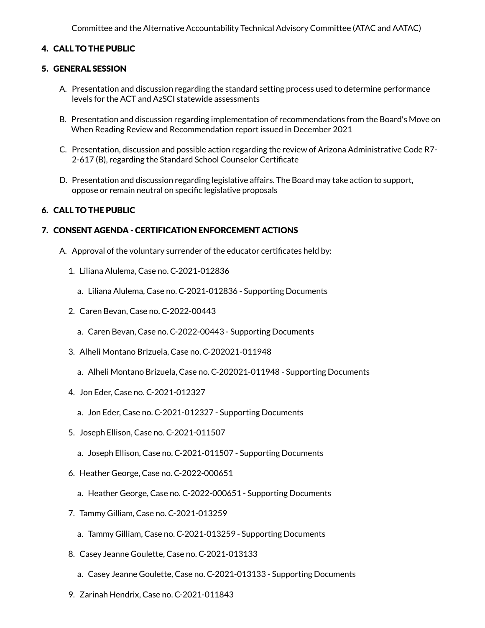Committee and the Alternative Accountability Technical Advisory Committee (ATAC and AATAC)

## 4. CALL TO THE PUBLIC

#### 5. GENERAL SESSION

- A. Presentation and discussion regarding the standard setting process used to determine performance levels for the ACT and AzSCI statewide assessments
- B. Presentation and discussion regarding implementation of recommendations from the Board's Move on When Reading Review and Recommendation report issued in December 2021
- C. Presentation, discussion and possible action regarding the review of Arizona Administrative Code R7- 2-617 (B), regarding the Standard School Counselor Certificate
- D. Presentation and discussion regarding legislative affairs. The Board may take action to support, oppose or remain neutral on specific legislative proposals

## 6. CALL TO THE PUBLIC

#### 7. CONSENT AGENDA - CERTIFICATION ENFORCEMENT ACTIONS

- A. Approval of the voluntary surrender of the educator certificates held by:
	- 1. Liliana Alulema, Case no. C-2021-012836
		- a. Liliana Alulema, Case no. C-2021-012836 Supporting Documents
	- 2. Caren Bevan, Case no. C-2022-00443
		- a. Caren Bevan, Case no. C-2022-00443 Supporting Documents
	- 3. Alheli Montano Brizuela, Case no. C-202021-011948
		- a. Alheli Montano Brizuela, Case no. C-202021-011948 Supporting Documents
	- 4. Jon Eder, Case no. C-2021-012327
		- a. Jon Eder, Case no. C-2021-012327 Supporting Documents
	- 5. Joseph Ellison, Case no. C-2021-011507
		- a. Joseph Ellison, Case no. C-2021-011507 Supporting Documents
	- 6. Heather George, Case no. C-2022-000651
		- a. Heather George, Case no. C-2022-000651 Supporting Documents
	- 7. Tammy Gilliam, Case no. C-2021-013259
		- a. Tammy Gilliam, Case no. C-2021-013259 Supporting Documents
	- 8. Casey Jeanne Goulette, Case no. C-2021-013133
		- a. Casey Jeanne Goulette, Case no. C-2021-013133 Supporting Documents
	- 9. Zarinah Hendrix, Case no. C-2021-011843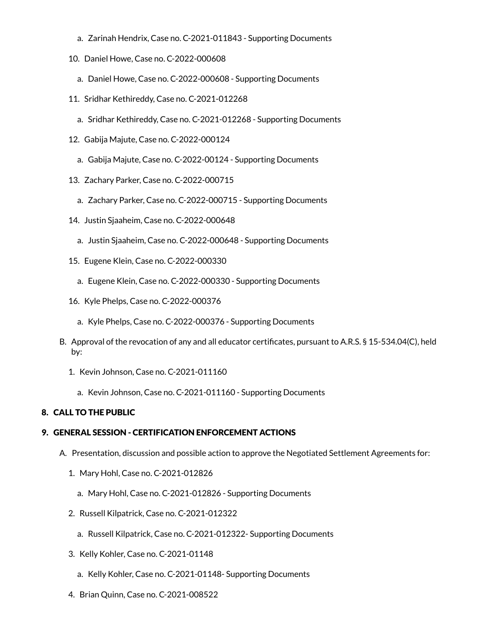- a. Zarinah Hendrix, Case no. C-2021-011843 Supporting Documents
- 10. Daniel Howe, Case no. C-2022-000608
	- a. Daniel Howe, Case no. C-2022-000608 Supporting Documents
- 11. Sridhar Kethireddy, Case no. C-2021-012268
	- a. Sridhar Kethireddy, Case no. C-2021-012268 Supporting Documents
- 12. Gabija Majute, Case no. C-2022-000124
	- a. Gabija Majute, Case no. C-2022-00124 Supporting Documents
- 13. Zachary Parker, Case no. C-2022-000715
	- a. Zachary Parker, Case no. C-2022-000715 Supporting Documents
- 14. Justin Sjaaheim, Case no. C-2022-000648
	- a. Justin Sjaaheim, Case no. C-2022-000648 Supporting Documents
- 15. Eugene Klein, Case no. C-2022-000330
	- a. Eugene Klein, Case no. C-2022-000330 Supporting Documents
- 16. Kyle Phelps, Case no. C-2022-000376
	- a. Kyle Phelps, Case no. C-2022-000376 Supporting Documents
- B. Approval of the revocation of any and all educator certificates, pursuant to A.R.S. § 15-534.04(C), held by:
	- 1. Kevin Johnson, Case no. C-2021-011160
		- a. Kevin Johnson, Case no. C-2021-011160 Supporting Documents

## 8. CALL TO THE PUBLIC

## 9. GENERAL SESSION - CERTIFICATION ENFORCEMENT ACTIONS

- A. Presentation, discussion and possible action to approve the Negotiated Settlement Agreements for:
	- 1. Mary Hohl, Case no. C-2021-012826
		- a. Mary Hohl, Case no. C-2021-012826 Supporting Documents
	- 2. Russell Kilpatrick, Case no. C-2021-012322
		- a. Russell Kilpatrick, Case no. C-2021-012322- Supporting Documents
	- 3. Kelly Kohler, Case no. C-2021-01148
		- a. Kelly Kohler, Case no. C-2021-01148- Supporting Documents
	- 4. Brian Quinn, Case no. C-2021-008522